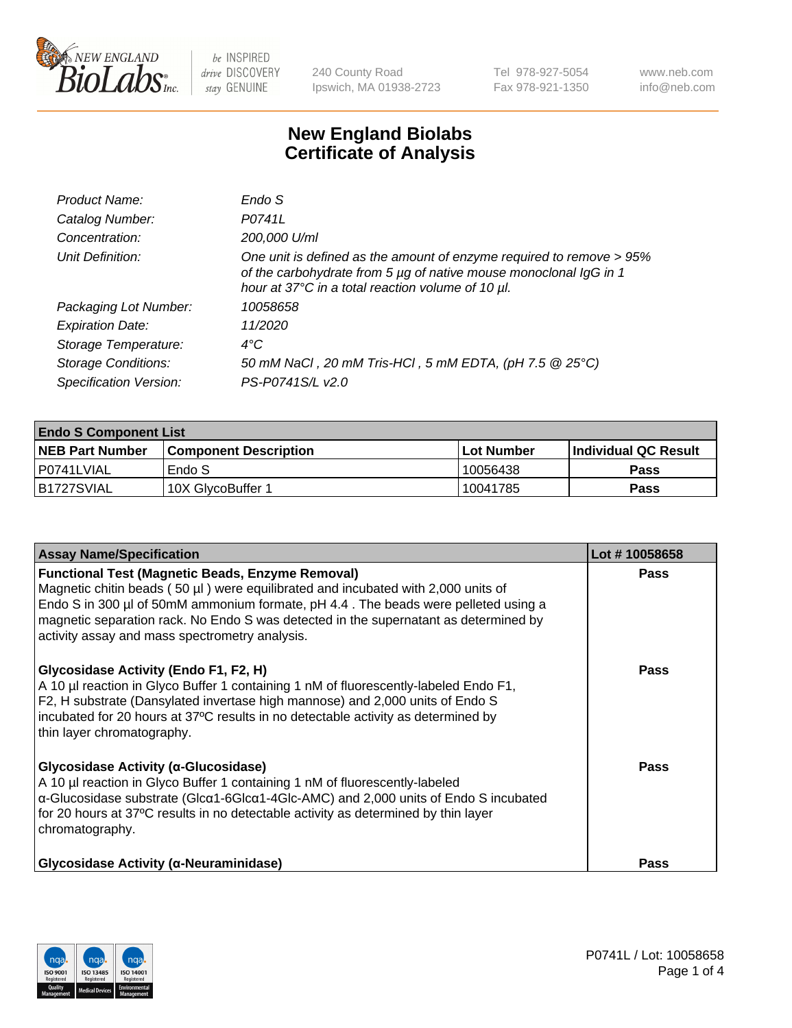

240 County Road Ipswich, MA 01938-2723 Tel 978-927-5054 Fax 978-921-1350 www.neb.com info@neb.com

## **New England Biolabs Certificate of Analysis**

| Product Name:              | Endo S                                                                                                                                                                                         |
|----------------------------|------------------------------------------------------------------------------------------------------------------------------------------------------------------------------------------------|
| Catalog Number:            | P0741L                                                                                                                                                                                         |
| Concentration:             | 200,000 U/ml                                                                                                                                                                                   |
| Unit Definition:           | One unit is defined as the amount of enzyme required to remove > 95%<br>of the carbohydrate from 5 µg of native mouse monoclonal IgG in 1<br>hour at 37°C in a total reaction volume of 10 µl. |
| Packaging Lot Number:      | 10058658                                                                                                                                                                                       |
| <b>Expiration Date:</b>    | 11/2020                                                                                                                                                                                        |
| Storage Temperature:       | $4^{\circ}$ C                                                                                                                                                                                  |
| <b>Storage Conditions:</b> | 50 mM NaCl, 20 mM Tris-HCl, 5 mM EDTA, (pH 7.5 @ 25°C)                                                                                                                                         |
| Specification Version:     | PS-P0741S/L v2.0                                                                                                                                                                               |

| <b>Endo S Component List</b> |                              |             |                             |  |  |
|------------------------------|------------------------------|-------------|-----------------------------|--|--|
| <b>NEB Part Number</b>       | <b>Component Description</b> | ⊺Lot Number | <b>Individual QC Result</b> |  |  |
| l P0741LVIAL                 | Endo S                       | 10056438    | <b>Pass</b>                 |  |  |
| B1727SVIAL                   | .10X GlvcoBuffer 1           | 10041785    | Pass                        |  |  |

| <b>Assay Name/Specification</b>                                                                                                                                                                                                                                                                                                                                                   | Lot #10058658 |
|-----------------------------------------------------------------------------------------------------------------------------------------------------------------------------------------------------------------------------------------------------------------------------------------------------------------------------------------------------------------------------------|---------------|
| <b>Functional Test (Magnetic Beads, Enzyme Removal)</b><br>Magnetic chitin beads $(50 \mu l)$ were equilibrated and incubated with 2,000 units of<br>Endo S in 300 µl of 50mM ammonium formate, pH 4.4. The beads were pelleted using a<br>magnetic separation rack. No Endo S was detected in the supernatant as determined by<br>activity assay and mass spectrometry analysis. | <b>Pass</b>   |
| Glycosidase Activity (Endo F1, F2, H)<br>A 10 µl reaction in Glyco Buffer 1 containing 1 nM of fluorescently-labeled Endo F1,<br>F2, H substrate (Dansylated invertase high mannose) and 2,000 units of Endo S<br>incubated for 20 hours at 37°C results in no detectable activity as determined by<br>thin layer chromatography.                                                 | Pass          |
| Glycosidase Activity (α-Glucosidase)<br>A 10 µl reaction in Glyco Buffer 1 containing 1 nM of fluorescently-labeled<br>$\alpha$ -Glucosidase substrate (Glc $\alpha$ 1-6Glc $\alpha$ 1-4Glc-AMC) and 2,000 units of Endo S incubated<br>for 20 hours at 37°C results in no detectable activity as determined by thin layer<br>chromatography.                                     | Pass          |
| <b>Glycosidase Activity (α-Neuraminidase)</b>                                                                                                                                                                                                                                                                                                                                     | <b>Pass</b>   |

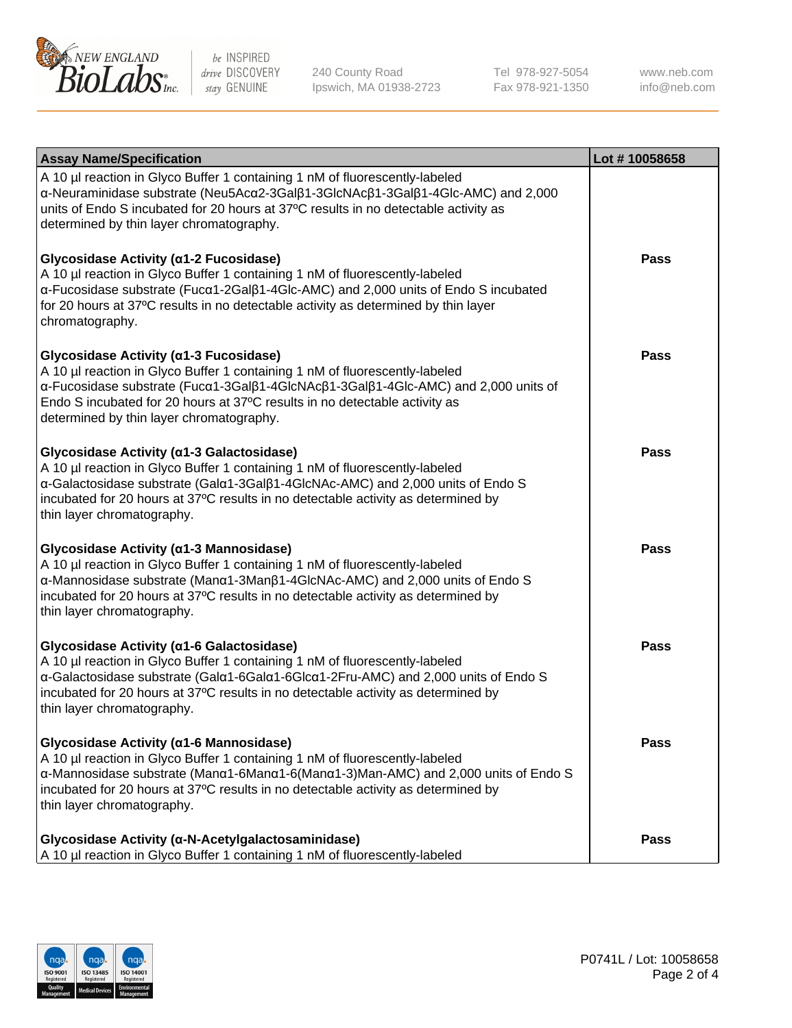

240 County Road Ipswich, MA 01938-2723 Tel 978-927-5054 Fax 978-921-1350 www.neb.com info@neb.com

| <b>Assay Name/Specification</b>                                                                                                                                                                                                                                                                                                       | Lot #10058658 |
|---------------------------------------------------------------------------------------------------------------------------------------------------------------------------------------------------------------------------------------------------------------------------------------------------------------------------------------|---------------|
| A 10 µl reaction in Glyco Buffer 1 containing 1 nM of fluorescently-labeled<br>α-Neuraminidase substrate (Neu5Acα2-3Galβ1-3GlcNAcβ1-3Galβ1-4Glc-AMC) and 2,000<br>units of Endo S incubated for 20 hours at 37°C results in no detectable activity as<br>determined by thin layer chromatography.                                     |               |
| Glycosidase Activity (α1-2 Fucosidase)<br>A 10 µl reaction in Glyco Buffer 1 containing 1 nM of fluorescently-labeled<br>α-Fucosidase substrate (Fucα1-2Galβ1-4Glc-AMC) and 2,000 units of Endo S incubated<br>for 20 hours at 37°C results in no detectable activity as determined by thin layer<br>chromatography.                  | <b>Pass</b>   |
| Glycosidase Activity (α1-3 Fucosidase)<br>A 10 µl reaction in Glyco Buffer 1 containing 1 nM of fluorescently-labeled<br>α-Fucosidase substrate (Fucα1-3Galβ1-4GlcNAcβ1-3Galβ1-4Glc-AMC) and 2,000 units of<br>Endo S incubated for 20 hours at 37°C results in no detectable activity as<br>determined by thin layer chromatography. | <b>Pass</b>   |
| Glycosidase Activity (α1-3 Galactosidase)<br>A 10 µl reaction in Glyco Buffer 1 containing 1 nM of fluorescently-labeled<br>α-Galactosidase substrate (Galα1-3Galβ1-4GlcNAc-AMC) and 2,000 units of Endo S<br>incubated for 20 hours at 37°C results in no detectable activity as determined by<br>thin layer chromatography.         | Pass          |
| Glycosidase Activity (α1-3 Mannosidase)<br>A 10 µl reaction in Glyco Buffer 1 containing 1 nM of fluorescently-labeled<br>α-Mannosidase substrate (Manα1-3Manβ1-4GlcNAc-AMC) and 2,000 units of Endo S<br>incubated for 20 hours at 37°C results in no detectable activity as determined by<br>thin layer chromatography.             | <b>Pass</b>   |
| Glycosidase Activity (α1-6 Galactosidase)<br>A 10 µl reaction in Glyco Buffer 1 containing 1 nM of fluorescently-labeled<br>α-Galactosidase substrate (Galα1-6Galα1-6Glcα1-2Fru-AMC) and 2,000 units of Endo S<br>incubated for 20 hours at 37°C results in no detectable activity as determined by<br>thin layer chromatography.     | Pass          |
| Glycosidase Activity (α1-6 Mannosidase)<br>A 10 µl reaction in Glyco Buffer 1 containing 1 nM of fluorescently-labeled<br>α-Mannosidase substrate (Μanα1-6Μanα1-6(Μanα1-3)Man-AMC) and 2,000 units of Endo S<br>incubated for 20 hours at 37°C results in no detectable activity as determined by<br>thin layer chromatography.       | <b>Pass</b>   |
| Glycosidase Activity (α-N-Acetylgalactosaminidase)<br>A 10 µl reaction in Glyco Buffer 1 containing 1 nM of fluorescently-labeled                                                                                                                                                                                                     | <b>Pass</b>   |

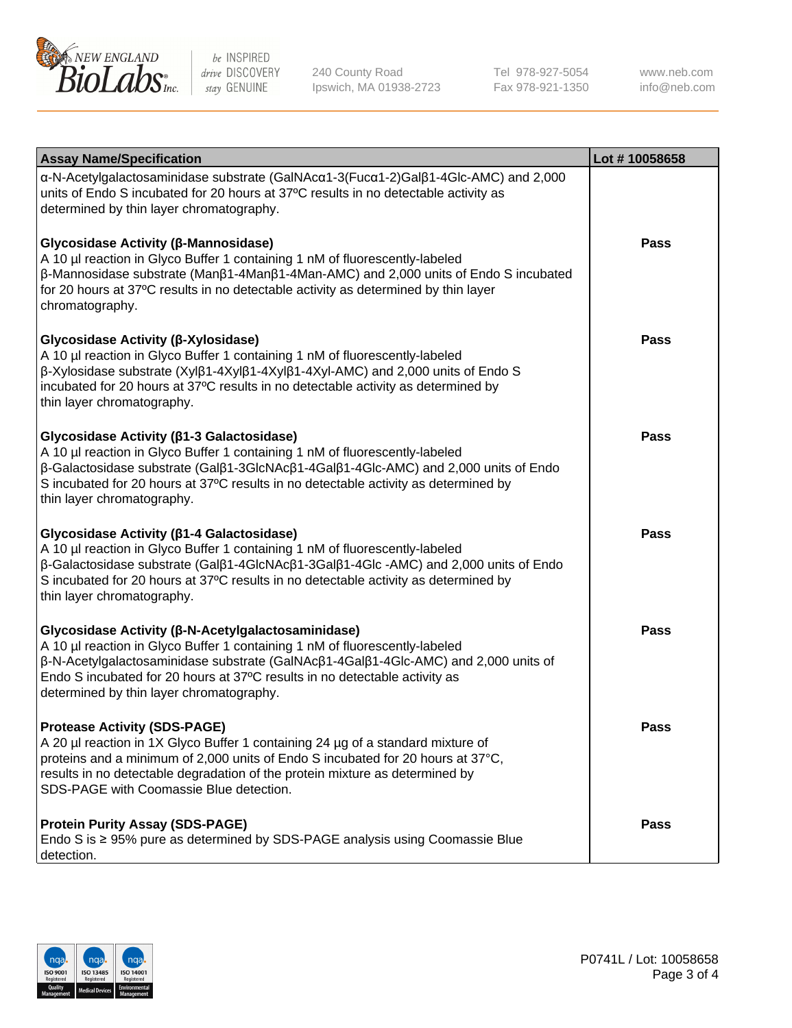

240 County Road Ipswich, MA 01938-2723 Tel 978-927-5054 Fax 978-921-1350

www.neb.com info@neb.com

| <b>Assay Name/Specification</b>                                                                                                                                                                                                                                                                                                                                | Lot #10058658 |
|----------------------------------------------------------------------------------------------------------------------------------------------------------------------------------------------------------------------------------------------------------------------------------------------------------------------------------------------------------------|---------------|
| $\alpha$ -N-Acetylgalactosaminidase substrate (GalNAc $\alpha$ 1-3(Fuc $\alpha$ 1-2)Gal $\beta$ 1-4Glc-AMC) and 2,000<br>units of Endo S incubated for 20 hours at 37°C results in no detectable activity as<br>determined by thin layer chromatography.                                                                                                       |               |
| Glycosidase Activity (β-Mannosidase)<br>A 10 µl reaction in Glyco Buffer 1 containing 1 nM of fluorescently-labeled<br>$\beta$ -Mannosidase substrate (Man $\beta$ 1-4Man $\beta$ 1-4Man-AMC) and 2,000 units of Endo S incubated<br>for 20 hours at 37°C results in no detectable activity as determined by thin layer<br>chromatography.                     | <b>Pass</b>   |
| <b>Glycosidase Activity (β-Xylosidase)</b><br>A 10 µl reaction in Glyco Buffer 1 containing 1 nM of fluorescently-labeled<br>$\beta$ -Xylosidase substrate (Xyl $\beta$ 1-4Xyl $\beta$ 1-4Xyl $\beta$ 1-4Xyl-AMC) and 2,000 units of Endo S<br>incubated for 20 hours at 37°C results in no detectable activity as determined by<br>thin layer chromatography. | <b>Pass</b>   |
| <b>Glycosidase Activity (β1-3 Galactosidase)</b><br>A 10 µl reaction in Glyco Buffer 1 containing 1 nM of fluorescently-labeled<br>β-Galactosidase substrate (Galβ1-3GlcNAcβ1-4Galβ1-4Glc-AMC) and 2,000 units of Endo<br>S incubated for 20 hours at 37°C results in no detectable activity as determined by<br>thin layer chromatography.                    | <b>Pass</b>   |
| <b>Glycosidase Activity (β1-4 Galactosidase)</b><br>A 10 µl reaction in Glyco Buffer 1 containing 1 nM of fluorescently-labeled<br>β-Galactosidase substrate (Galβ1-4GlcNAcβ1-3Galβ1-4Glc -AMC) and 2,000 units of Endo<br>S incubated for 20 hours at 37°C results in no detectable activity as determined by<br>thin layer chromatography.                   | <b>Pass</b>   |
| <b>Glycosidase Activity (β-N-Acetylgalactosaminidase)</b><br>A 10 µl reaction in Glyco Buffer 1 containing 1 nM of fluorescently-labeled<br>β-N-Acetylgalactosaminidase substrate (GalNAcβ1-4Galβ1-4Glc-AMC) and 2,000 units of<br>Endo S incubated for 20 hours at 37°C results in no detectable activity as<br>determined by thin layer chromatography.      | <b>Pass</b>   |
| <b>Protease Activity (SDS-PAGE)</b><br>A 20 µl reaction in 1X Glyco Buffer 1 containing 24 µg of a standard mixture of<br>proteins and a minimum of 2,000 units of Endo S incubated for 20 hours at 37°C,<br>results in no detectable degradation of the protein mixture as determined by<br>SDS-PAGE with Coomassie Blue detection.                           | Pass          |
| <b>Protein Purity Assay (SDS-PAGE)</b><br>Endo S is ≥ 95% pure as determined by SDS-PAGE analysis using Coomassie Blue<br>detection.                                                                                                                                                                                                                           | <b>Pass</b>   |